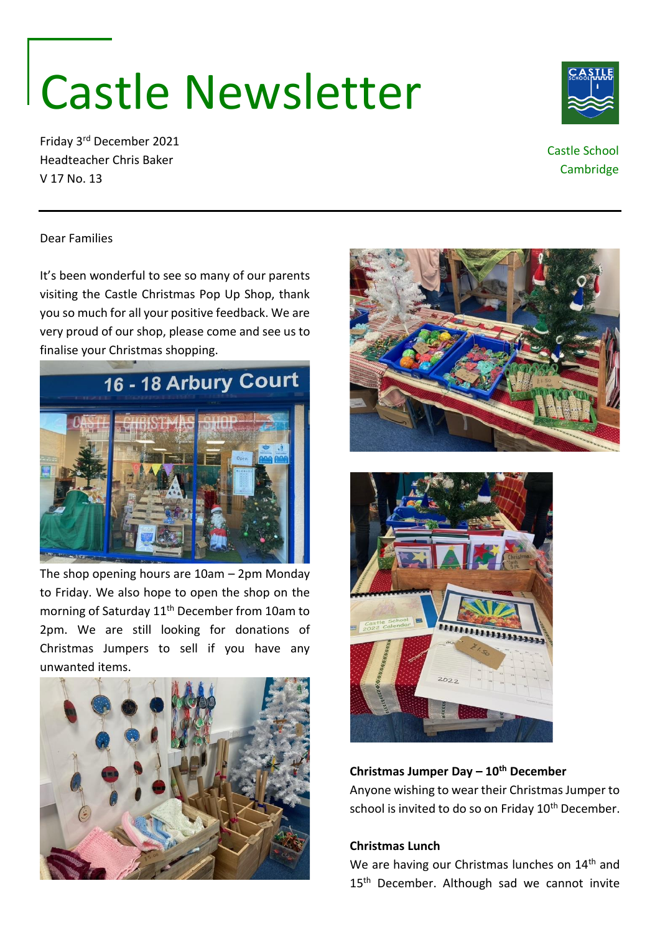# Castle Newsletter

Friday 3rd December 2021 Headteacher Chris Baker V 17 No. 13

Dear Families

It's been wonderful to see so many of our parents visiting the Castle Christmas Pop Up Shop, thank you so much for all your positive feedback. We are very proud of our shop, please come and see us to finalise your Christmas shopping.



The shop opening hours are 10am – 2pm Monday to Friday. We also hope to open the shop on the morning of Saturday 11<sup>th</sup> December from 10am to 2pm. We are still looking for donations of Christmas Jumpers to sell if you have any unwanted items.







## **Christmas Jumper Day – 10th December**

Anyone wishing to wear their Christmas Jumper to school is invited to do so on Friday 10<sup>th</sup> December.

## **Christmas Lunch**

We are having our Christmas lunches on 14<sup>th</sup> and 15<sup>th</sup> December. Although sad we cannot invite





Castle School Cambridge